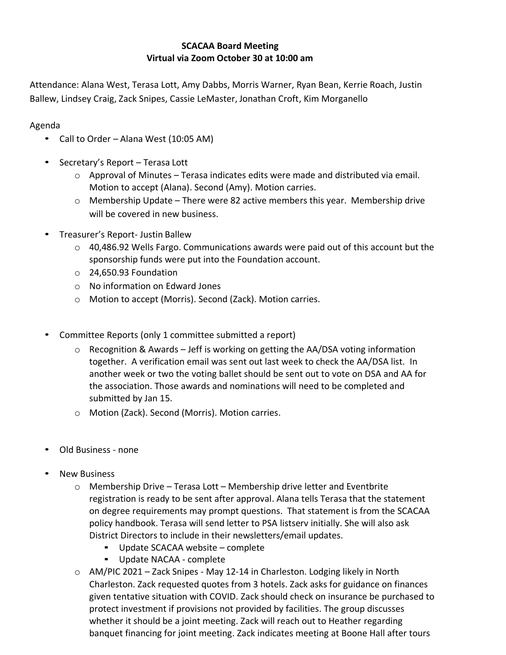## **SCACAA Board Meeting Virtual via Zoom October 30 at 10:00 am**

Attendance: Alana West, Terasa Lott, Amy Dabbs, Morris Warner, Ryan Bean, Kerrie Roach, Justin Ballew, Lindsey Craig, Zack Snipes, Cassie LeMaster, Jonathan Croft, Kim Morganello

Agenda

- Call to Order Alana West (10:05 AM)
- Secretary's Report Terasa Lott
	- $\circ$  Approval of Minutes Terasa indicates edits were made and distributed via email. Motion to accept (Alana). Second (Amy). Motion carries.
	- $\circ$  Membership Update There were 82 active members this year. Membership drive will be covered in new business.
- Treasurer's Report- Justin Ballew
	- $\circ$  40,486.92 Wells Fargo. Communications awards were paid out of this account but the sponsorship funds were put into the Foundation account.
	- o 24,650.93 Foundation
	- o No information on Edward Jones
	- o Motion to accept (Morris). Second (Zack). Motion carries.
- Committee Reports (only 1 committee submitted a report)
	- o Recognition & Awards Jeff is working on getting the AA/DSA voting information together. A verification email was sent out last week to check the AA/DSA list. In another week or two the voting ballet should be sent out to vote on DSA and AA for the association. Those awards and nominations will need to be completed and submitted by Jan 15.
	- o Motion (Zack). Second (Morris). Motion carries.
- Old Business none
- **New Business** 
	- o Membership Drive Terasa Lott Membership drive letter and Eventbrite registration is ready to be sent after approval. Alana tells Terasa that the statement on degree requirements may prompt questions. That statement is from the SCACAA policy handbook. Terasa will send letter to PSA listserv initially. She will also ask District Directors to include in their newsletters/email updates.
		- Update SCACAA website complete
		- Update NACAA complete
	- o AM/PIC 2021 Zack Snipes May 12-14 in Charleston. Lodging likely in North Charleston. Zack requested quotes from 3 hotels. Zack asks for guidance on finances given tentative situation with COVID. Zack should check on insurance be purchased to protect investment if provisions not provided by facilities. The group discusses whether it should be a joint meeting. Zack will reach out to Heather regarding banquet financing for joint meeting. Zack indicates meeting at Boone Hall after tours